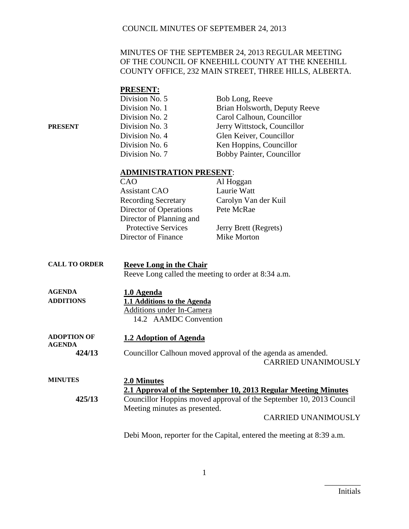## COUNCIL MINUTES OF SEPTEMBER 24, 2013

## MINUTES OF THE SEPTEMBER 24, 2013 REGULAR MEETING OF THE COUNCIL OF KNEEHILL COUNTY AT THE KNEEHILL COUNTY OFFICE, 232 MAIN STREET, THREE HILLS, ALBERTA.

|                                       | <b>PRESENT:</b>                                                                                     |                                                                     |  |
|---------------------------------------|-----------------------------------------------------------------------------------------------------|---------------------------------------------------------------------|--|
|                                       | Division No. 5                                                                                      | Bob Long, Reeve                                                     |  |
|                                       | Division No. 1                                                                                      | Brian Holsworth, Deputy Reeve                                       |  |
|                                       | Division No. 2                                                                                      | Carol Calhoun, Councillor                                           |  |
| <b>PRESENT</b>                        | Division No. 3                                                                                      | Jerry Wittstock, Councillor                                         |  |
|                                       | Division No. 4                                                                                      | Glen Keiver, Councillor                                             |  |
|                                       | Division No. 6                                                                                      | Ken Hoppins, Councillor                                             |  |
|                                       | Division No. 7                                                                                      | Bobby Painter, Councillor                                           |  |
|                                       |                                                                                                     |                                                                     |  |
|                                       | <b>ADMINISTRATION PRESENT:</b>                                                                      |                                                                     |  |
|                                       | CAO                                                                                                 | Al Hoggan                                                           |  |
|                                       | <b>Assistant CAO</b>                                                                                | Laurie Watt                                                         |  |
|                                       | <b>Recording Secretary</b>                                                                          | Carolyn Van der Kuil                                                |  |
|                                       | Director of Operations                                                                              | Pete McRae                                                          |  |
|                                       | Director of Planning and                                                                            |                                                                     |  |
|                                       | <b>Protective Services</b>                                                                          | Jerry Brett (Regrets)                                               |  |
|                                       | Director of Finance                                                                                 | Mike Morton                                                         |  |
| <b>CALL TO ORDER</b><br><b>AGENDA</b> | <b>Reeve Long in the Chair</b><br>Reeve Long called the meeting to order at 8:34 a.m.<br>1.0 Agenda |                                                                     |  |
| <b>ADDITIONS</b>                      | 1.1 Additions to the Agenda<br>Additions under In-Camera<br>14.2 AAMDC Convention                   |                                                                     |  |
| <b>ADOPTION OF</b>                    | 1.2 Adoption of Agenda                                                                              |                                                                     |  |
| <b>AGENDA</b><br>424/13               | Councillor Calhoun moved approval of the agenda as amended.                                         |                                                                     |  |
|                                       |                                                                                                     | <b>CARRIED UNANIMOUSLY</b>                                          |  |
| <b>MINUTES</b>                        | 2.0 Minutes                                                                                         |                                                                     |  |
|                                       |                                                                                                     | 2.1 Approval of the September 10, 2013 Regular Meeting Minutes      |  |
| 425/13                                |                                                                                                     | Councillor Hoppins moved approval of the September 10, 2013 Council |  |
|                                       | Meeting minutes as presented.<br><b>CARRIED UNANIMOUSLY</b>                                         |                                                                     |  |
|                                       |                                                                                                     |                                                                     |  |

Debi Moon, reporter for the Capital, entered the meeting at 8:39 a.m.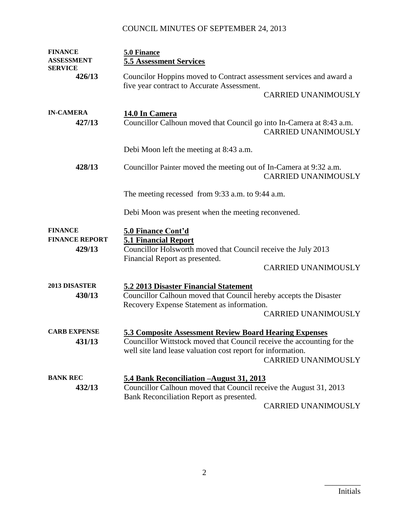## COUNCIL MINUTES OF SEPTEMBER 24, 2013

| <b>FINANCE</b>        | 5.0 Finance                                                                                        |
|-----------------------|----------------------------------------------------------------------------------------------------|
| <b>ASSESSMENT</b>     | <b>5.5 Assessment Services</b>                                                                     |
| <b>SERVICE</b>        |                                                                                                    |
| 426/13                | Councilor Hoppins moved to Contract assessment services and award a                                |
|                       | five year contract to Accurate Assessment.                                                         |
|                       | <b>CARRIED UNANIMOUSLY</b>                                                                         |
| <b>IN-CAMERA</b>      | 14.0 In Camera                                                                                     |
| 427/13                | Councillor Calhoun moved that Council go into In-Camera at 8:43 a.m.<br><b>CARRIED UNANIMOUSLY</b> |
|                       | Debi Moon left the meeting at 8:43 a.m.                                                            |
| 428/13                | Councillor Painter moved the meeting out of In-Camera at 9:32 a.m.<br><b>CARRIED UNANIMOUSLY</b>   |
|                       | The meeting recessed from 9:33 a.m. to 9:44 a.m.                                                   |
|                       | Debi Moon was present when the meeting reconvened.                                                 |
| <b>FINANCE</b>        | <b>5.0 Finance Cont'd</b>                                                                          |
| <b>FINANCE REPORT</b> | 5.1 Financial Report                                                                               |
| 429/13                | Councillor Holsworth moved that Council receive the July 2013                                      |
|                       | Financial Report as presented.                                                                     |
|                       | <b>CARRIED UNANIMOUSLY</b>                                                                         |
|                       |                                                                                                    |
| <b>2013 DISASTER</b>  | 5.2 2013 Disaster Financial Statement                                                              |
| 430/13                | Councillor Calhoun moved that Council hereby accepts the Disaster                                  |
|                       | Recovery Expense Statement as information.                                                         |
|                       | <b>CARRIED UNANIMOUSLY</b>                                                                         |
|                       |                                                                                                    |
| <b>CARB EXPENSE</b>   | 5.3 Composite Assessment Review Board Hearing Expenses                                             |
| 431/13                | Councillor Wittstock moved that Council receive the accounting for the                             |
|                       | well site land lease valuation cost report for information.                                        |
|                       | <b>CARRIED UNANIMOUSLY</b>                                                                         |
| <b>BANK REC</b>       | 5.4 Bank Reconciliation - August 31, 2013                                                          |
| 432/13                | Councillor Calhoun moved that Council receive the August 31, 2013                                  |
|                       | Bank Reconciliation Report as presented.                                                           |
|                       | <b>CARRIED UNANIMOUSLY</b>                                                                         |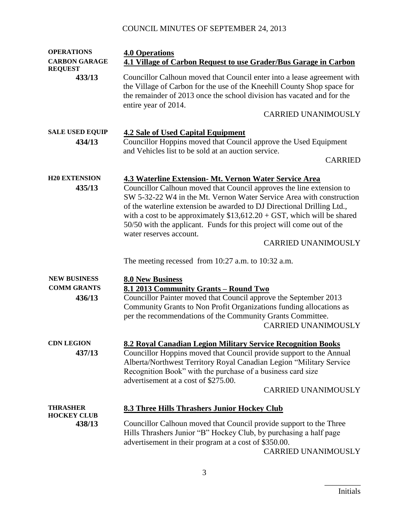| <b>OPERATIONS</b>                                   | <b>4.0 Operations</b>                                                                                                                                                                                                                                                                                                                                                                                                                                                                                  |  |
|-----------------------------------------------------|--------------------------------------------------------------------------------------------------------------------------------------------------------------------------------------------------------------------------------------------------------------------------------------------------------------------------------------------------------------------------------------------------------------------------------------------------------------------------------------------------------|--|
| <b>CARBON GARAGE</b><br><b>REQUEST</b>              | 4.1 Village of Carbon Request to use Grader/Bus Garage in Carbon                                                                                                                                                                                                                                                                                                                                                                                                                                       |  |
| 433/13                                              | Councillor Calhoun moved that Council enter into a lease agreement with<br>the Village of Carbon for the use of the Kneehill County Shop space for<br>the remainder of 2013 once the school division has vacated and for the<br>entire year of 2014.                                                                                                                                                                                                                                                   |  |
|                                                     | <b>CARRIED UNANIMOUSLY</b>                                                                                                                                                                                                                                                                                                                                                                                                                                                                             |  |
| <b>SALE USED EQUIP</b><br>434/13                    | <b>4.2 Sale of Used Capital Equipment</b><br>Councillor Hoppins moved that Council approve the Used Equipment<br>and Vehicles list to be sold at an auction service.<br><b>CARRIED</b>                                                                                                                                                                                                                                                                                                                 |  |
| <b>H20 EXTENSION</b><br>435/13                      | <b>4.3 Waterline Extension- Mt. Vernon Water Service Area</b><br>Councillor Calhoun moved that Council approves the line extension to<br>SW 5-32-22 W4 in the Mt. Vernon Water Service Area with construction<br>of the waterline extension be awarded to DJ Directional Drilling Ltd.,<br>with a cost to be approximately $$13,612.20 + GST$ , which will be shared<br>50/50 with the applicant. Funds for this project will come out of the<br>water reserves account.<br><b>CARRIED UNANIMOUSLY</b> |  |
|                                                     | The meeting recessed from $10:27$ a.m. to $10:32$ a.m.                                                                                                                                                                                                                                                                                                                                                                                                                                                 |  |
| <b>NEW BUSINESS</b><br><b>COMM GRANTS</b><br>436/13 | <b>8.0 New Business</b><br>8.1 2013 Community Grants - Round Two<br>Councillor Painter moved that Council approve the September 2013<br>Community Grants to Non Profit Organizations funding allocations as<br>per the recommendations of the Community Grants Committee.<br><b>CARRIED UNANIMOUSLY</b>                                                                                                                                                                                                |  |
| <b>CDN LEGION</b><br>437/13                         | 8.2 Royal Canadian Legion Military Service Recognition Books<br>Councillor Hoppins moved that Council provide support to the Annual<br>Alberta/Northwest Territory Royal Canadian Legion "Military Service<br>Recognition Book" with the purchase of a business card size<br>advertisement at a cost of \$275.00.<br><b>CARRIED UNANIMOUSLY</b>                                                                                                                                                        |  |
| <b>THRASHER</b>                                     | 8.3 Three Hills Thrashers Junior Hockey Club                                                                                                                                                                                                                                                                                                                                                                                                                                                           |  |
| <b>HOCKEY CLUB</b><br>438/13                        | Councillor Calhoun moved that Council provide support to the Three<br>Hills Thrashers Junior "B" Hockey Club, by purchasing a half page<br>advertisement in their program at a cost of \$350.00.<br><b>CARRIED UNANIMOUSLY</b>                                                                                                                                                                                                                                                                         |  |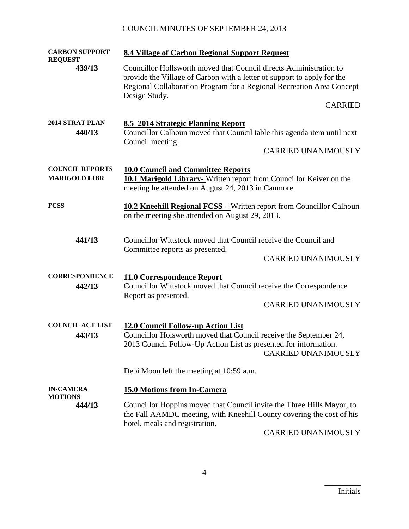## COUNCIL MINUTES OF SEPTEMBER 24, 2013

| <b>CARBON SUPPORT</b><br><b>REQUEST</b>        | 8.4 Village of Carbon Regional Support Request                                                                                                                                                                                          |  |
|------------------------------------------------|-----------------------------------------------------------------------------------------------------------------------------------------------------------------------------------------------------------------------------------------|--|
| 439/13                                         | Councillor Hollsworth moved that Council directs Administration to<br>provide the Village of Carbon with a letter of support to apply for the<br>Regional Collaboration Program for a Regional Recreation Area Concept<br>Design Study. |  |
|                                                | <b>CARRIED</b>                                                                                                                                                                                                                          |  |
| 2014 STRAT PLAN<br>440/13                      | 8.5 2014 Strategic Planning Report<br>Councillor Calhoun moved that Council table this agenda item until next<br>Council meeting.<br><b>CARRIED UNANIMOUSLY</b>                                                                         |  |
| <b>COUNCIL REPORTS</b><br><b>MARIGOLD LIBR</b> | <b>10.0 Council and Committee Reports</b><br>10.1 Marigold Library-Written report from Councillor Keiver on the<br>meeting he attended on August 24, 2013 in Canmore.                                                                   |  |
| <b>FCSS</b>                                    | <b>10.2 Kneehill Regional FCSS - Written report from Councillor Calhoun</b><br>on the meeting she attended on August 29, 2013.                                                                                                          |  |
| 441/13                                         | Councillor Wittstock moved that Council receive the Council and<br>Committee reports as presented.<br><b>CARRIED UNANIMOUSLY</b>                                                                                                        |  |
| <b>CORRESPONDENCE</b><br>442/13                | 11.0 Correspondence Report<br>Councillor Wittstock moved that Council receive the Correspondence<br>Report as presented.<br><b>CARRIED UNANIMOUSLY</b>                                                                                  |  |
| <b>COUNCIL ACT LIST</b><br>443/13              | 12.0 Council Follow-up Action List<br>Councillor Holsworth moved that Council receive the September 24,<br>2013 Council Follow-Up Action List as presented for information.<br><b>CARRIED UNANIMOUSLY</b>                               |  |
|                                                | Debi Moon left the meeting at 10:59 a.m.                                                                                                                                                                                                |  |
| <b>IN-CAMERA</b><br><b>MOTIONS</b><br>444/13   | <b>15.0 Motions from In-Camera</b><br>Councillor Hoppins moved that Council invite the Three Hills Mayor, to<br>the Fall AAMDC meeting, with Kneehill County covering the cost of his<br>hotel, meals and registration.                 |  |
|                                                | <b>CARRIED UNANIMOUSLY</b>                                                                                                                                                                                                              |  |